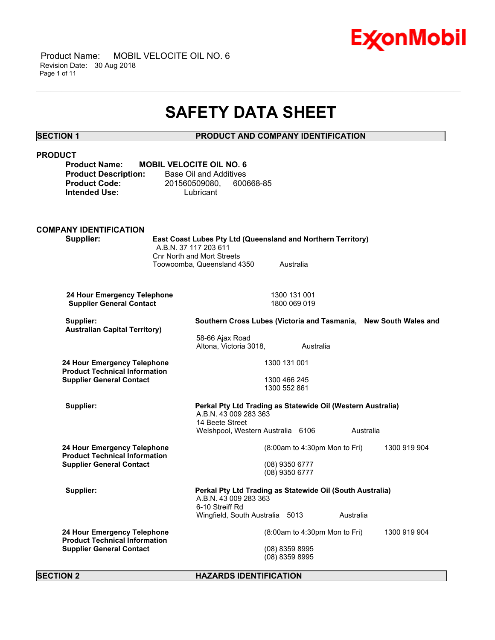

 Product Name: MOBIL VELOCITE OIL NO. 6 Revision Date: 30 Aug 2018 Page 1 of 11

## **SAFETY DATA SHEET**

\_\_\_\_\_\_\_\_\_\_\_\_\_\_\_\_\_\_\_\_\_\_\_\_\_\_\_\_\_\_\_\_\_\_\_\_\_\_\_\_\_\_\_\_\_\_\_\_\_\_\_\_\_\_\_\_\_\_\_\_\_\_\_\_\_\_\_\_\_\_\_\_\_\_\_\_\_\_\_\_\_\_\_\_\_\_\_\_\_\_\_\_\_\_\_\_\_\_\_\_\_\_\_\_\_\_\_\_\_\_\_\_\_\_\_\_\_\_

#### **SECTION 1 PRODUCT AND COMPANY IDENTIFICATION**

### **PRODUCT Product Name: MOBIL VELOCITE OIL NO. 6 Product Description:** Base Oil and Additives **Product Code:** 201560509080, 600668-85 **Intended Use:** Lubricant **COMPANY IDENTIFICATION Supplier: East Coast Lubes Pty Ltd (Queensland and Northern Territory)** A.B.N. 37 117 203 611 Cnr North and Mort Streets Toowoomba, Queensland 4350 Australia **24 Hour Emergency Telephone** 1300 131 001<br>**Supplier General Contact** 1800 069 019 **Supplier General Contact Supplier: Southern Cross Lubes (Victoria and Tasmania, New South Wales and Australian Capital Territory)** 58-66 Ajax Road Altona, Victoria 3018, Australia **24 Hour Emergency Telephone Product Technical Information Supplier General Contact** 1300 131 001 1300 466 245 1300 552 861 **Supplier: Perkal Pty Ltd Trading as Statewide Oil (Western Australia)** A.B.N. 43 009 283 363 14 Beete Street Welshpool, Western Australia 6106 Australia **24 Hour Emergency Telephone Product Technical Information Supplier General Contact** (8:00am to 4:30pm Mon to Fri) 1300 919 904 (08) 9350 6777 (08) 9350 6777 **Supplier: Perkal Pty Ltd Trading as Statewide Oil (South Australia)** A.B.N. 43 009 283 363 6-10 Streiff Rd Wingfield, South Australia 5013 Australia **24 Hour Emergency Telephone Product Technical Information Supplier General Contact** (8:00am to 4:30pm Mon to Fri) 1300 919 904 (08) 8359 8995 (08) 8359 8995

**SECTION 2 HAZARDS IDENTIFICATION**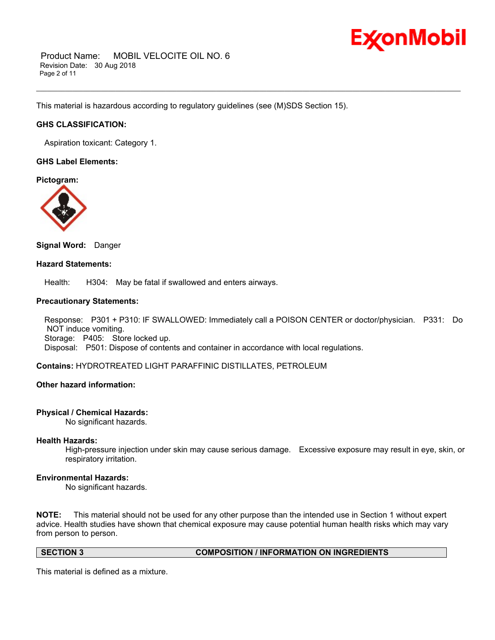

 Product Name: MOBIL VELOCITE OIL NO. 6 Revision Date: 30 Aug 2018 Page 2 of 11

This material is hazardous according to regulatory guidelines (see (M)SDS Section 15).

### **GHS CLASSIFICATION:**

Aspiration toxicant: Category 1.

#### **GHS Label Elements:**

**Pictogram:**



#### **Signal Word:** Danger

#### **Hazard Statements:**

Health: H304: May be fatal if swallowed and enters airways.

#### **Precautionary Statements:**

 Response: P301 + P310: IF SWALLOWED: Immediately call a POISON CENTER or doctor/physician. P331: Do NOT induce vomiting. Storage: P405: Store locked up. Disposal: P501: Dispose of contents and container in accordance with local regulations.

\_\_\_\_\_\_\_\_\_\_\_\_\_\_\_\_\_\_\_\_\_\_\_\_\_\_\_\_\_\_\_\_\_\_\_\_\_\_\_\_\_\_\_\_\_\_\_\_\_\_\_\_\_\_\_\_\_\_\_\_\_\_\_\_\_\_\_\_\_\_\_\_\_\_\_\_\_\_\_\_\_\_\_\_\_\_\_\_\_\_\_\_\_\_\_\_\_\_\_\_\_\_\_\_\_\_\_\_\_\_\_\_\_\_\_\_\_\_

#### **Contains:** HYDROTREATED LIGHT PARAFFINIC DISTILLATES, PETROLEUM

### **Other hazard information:**

#### **Physical / Chemical Hazards:**

No significant hazards.

#### **Health Hazards:**

High-pressure injection under skin may cause serious damage. Excessive exposure may result in eye, skin, or respiratory irritation.

#### **Environmental Hazards:**

No significant hazards.

**NOTE:** This material should not be used for any other purpose than the intended use in Section 1 without expert advice. Health studies have shown that chemical exposure may cause potential human health risks which may vary from person to person.

#### **SECTION 3 COMPOSITION / INFORMATION ON INGREDIENTS**

This material is defined as a mixture.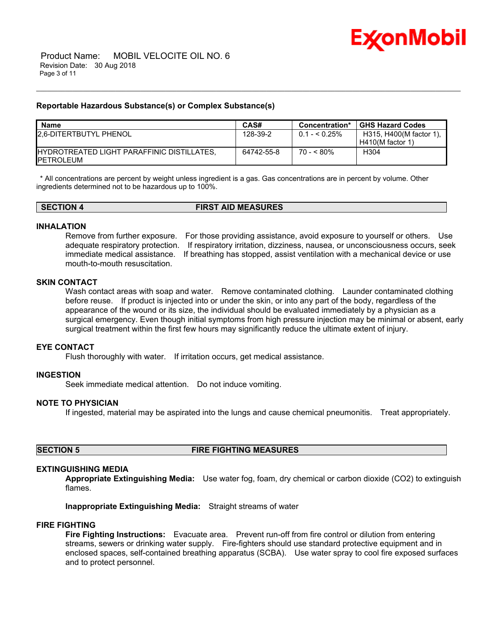

#### **Reportable Hazardous Substance(s) or Complex Substance(s)**

| <b>Name</b>                                                             | CAS#       | Concentration* | <b>GHS Hazard Codes</b>                       |
|-------------------------------------------------------------------------|------------|----------------|-----------------------------------------------|
| <b>12.6-DITERTBUTYL PHENOL</b>                                          | 128-39-2   | $0.1 - 5.25\%$ | H315, H400(M factor 1),<br>$H410(M$ factor 1) |
| <b>IHYDROTREATED LIGHT PARAFFINIC DISTILLATES.</b><br><b>IPETROLEUM</b> | 64742-55-8 | $70 - 80\%$    | H304                                          |

\_\_\_\_\_\_\_\_\_\_\_\_\_\_\_\_\_\_\_\_\_\_\_\_\_\_\_\_\_\_\_\_\_\_\_\_\_\_\_\_\_\_\_\_\_\_\_\_\_\_\_\_\_\_\_\_\_\_\_\_\_\_\_\_\_\_\_\_\_\_\_\_\_\_\_\_\_\_\_\_\_\_\_\_\_\_\_\_\_\_\_\_\_\_\_\_\_\_\_\_\_\_\_\_\_\_\_\_\_\_\_\_\_\_\_\_\_\_

 \* All concentrations are percent by weight unless ingredient is a gas. Gas concentrations are in percent by volume. Other ingredients determined not to be hazardous up to 100%.

**SECTION 4 FIRST AID MEASURES**

#### **INHALATION**

Remove from further exposure. For those providing assistance, avoid exposure to yourself or others. Use adequate respiratory protection. If respiratory irritation, dizziness, nausea, or unconsciousness occurs, seek immediate medical assistance. If breathing has stopped, assist ventilation with a mechanical device or use mouth-to-mouth resuscitation.

#### **SKIN CONTACT**

Wash contact areas with soap and water. Remove contaminated clothing. Launder contaminated clothing before reuse. If product is injected into or under the skin, or into any part of the body, regardless of the appearance of the wound or its size, the individual should be evaluated immediately by a physician as a surgical emergency. Even though initial symptoms from high pressure injection may be minimal or absent, early surgical treatment within the first few hours may significantly reduce the ultimate extent of injury.

#### **EYE CONTACT**

Flush thoroughly with water. If irritation occurs, get medical assistance.

#### **INGESTION**

Seek immediate medical attention. Do not induce vomiting.

#### **NOTE TO PHYSICIAN**

If ingested, material may be aspirated into the lungs and cause chemical pneumonitis. Treat appropriately.

#### **SECTION 5 FIRE FIGHTING MEASURES**

#### **EXTINGUISHING MEDIA**

**Appropriate Extinguishing Media:** Use water fog, foam, dry chemical or carbon dioxide (CO2) to extinguish flames.

**Inappropriate Extinguishing Media:** Straight streams of water

#### **FIRE FIGHTING**

**Fire Fighting Instructions:** Evacuate area. Prevent run-off from fire control or dilution from entering streams, sewers or drinking water supply. Fire-fighters should use standard protective equipment and in enclosed spaces, self-contained breathing apparatus (SCBA). Use water spray to cool fire exposed surfaces and to protect personnel.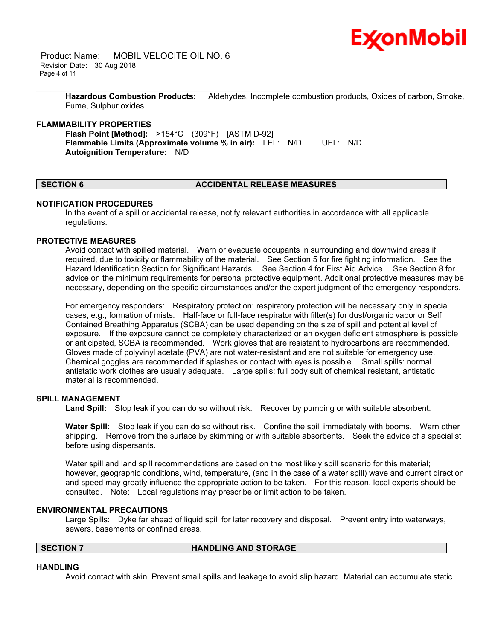

 Product Name: MOBIL VELOCITE OIL NO. 6 Revision Date: 30 Aug 2018 Page 4 of 11

> **Hazardous Combustion Products:** Aldehydes, Incomplete combustion products, Oxides of carbon, Smoke, Fume, Sulphur oxides

\_\_\_\_\_\_\_\_\_\_\_\_\_\_\_\_\_\_\_\_\_\_\_\_\_\_\_\_\_\_\_\_\_\_\_\_\_\_\_\_\_\_\_\_\_\_\_\_\_\_\_\_\_\_\_\_\_\_\_\_\_\_\_\_\_\_\_\_\_\_\_\_\_\_\_\_\_\_\_\_\_\_\_\_\_\_\_\_\_\_\_\_\_\_\_\_\_\_\_\_\_\_\_\_\_\_\_\_\_\_\_\_\_\_\_\_\_\_

#### **FLAMMABILITY PROPERTIES**

**Flash Point [Method]:** >154°C (309°F) [ASTM D-92] **Flammable Limits (Approximate volume % in air):** LEL: N/D UEL: N/D **Autoignition Temperature:** N/D

#### **SECTION 6 ACCIDENTAL RELEASE MEASURES**

#### **NOTIFICATION PROCEDURES**

In the event of a spill or accidental release, notify relevant authorities in accordance with all applicable regulations.

#### **PROTECTIVE MEASURES**

Avoid contact with spilled material. Warn or evacuate occupants in surrounding and downwind areas if required, due to toxicity or flammability of the material. See Section 5 for fire fighting information. See the Hazard Identification Section for Significant Hazards. See Section 4 for First Aid Advice. See Section 8 for advice on the minimum requirements for personal protective equipment. Additional protective measures may be necessary, depending on the specific circumstances and/or the expert judgment of the emergency responders.

For emergency responders: Respiratory protection: respiratory protection will be necessary only in special cases, e.g., formation of mists. Half-face or full-face respirator with filter(s) for dust/organic vapor or Self Contained Breathing Apparatus (SCBA) can be used depending on the size of spill and potential level of exposure. If the exposure cannot be completely characterized or an oxygen deficient atmosphere is possible or anticipated, SCBA is recommended. Work gloves that are resistant to hydrocarbons are recommended. Gloves made of polyvinyl acetate (PVA) are not water-resistant and are not suitable for emergency use. Chemical goggles are recommended if splashes or contact with eyes is possible. Small spills: normal antistatic work clothes are usually adequate. Large spills: full body suit of chemical resistant, antistatic material is recommended.

#### **SPILL MANAGEMENT**

**Land Spill:** Stop leak if you can do so without risk. Recover by pumping or with suitable absorbent.

**Water Spill:** Stop leak if you can do so without risk. Confine the spill immediately with booms. Warn other shipping. Remove from the surface by skimming or with suitable absorbents. Seek the advice of a specialist before using dispersants.

Water spill and land spill recommendations are based on the most likely spill scenario for this material; however, geographic conditions, wind, temperature, (and in the case of a water spill) wave and current direction and speed may greatly influence the appropriate action to be taken. For this reason, local experts should be consulted. Note: Local regulations may prescribe or limit action to be taken.

#### **ENVIRONMENTAL PRECAUTIONS**

Large Spills: Dyke far ahead of liquid spill for later recovery and disposal. Prevent entry into waterways, sewers, basements or confined areas.

#### **SECTION 7 HANDLING AND STORAGE**

#### **HANDLING**

Avoid contact with skin. Prevent small spills and leakage to avoid slip hazard. Material can accumulate static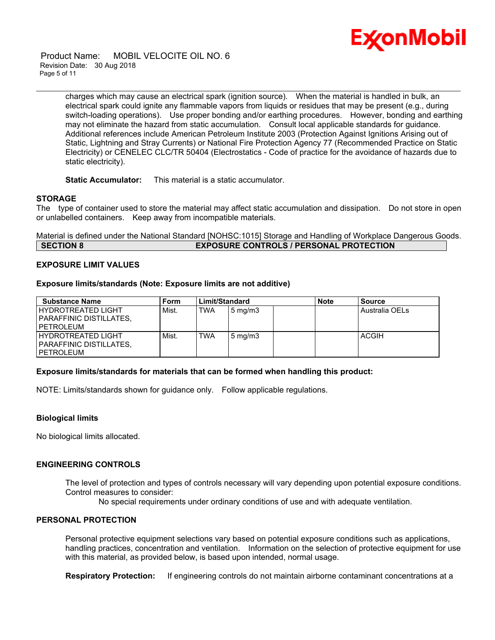

 Product Name: MOBIL VELOCITE OIL NO. 6 Revision Date: 30 Aug 2018 Page 5 of 11

> charges which may cause an electrical spark (ignition source). When the material is handled in bulk, an electrical spark could ignite any flammable vapors from liquids or residues that may be present (e.g., during switch-loading operations). Use proper bonding and/or earthing procedures. However, bonding and earthing may not eliminate the hazard from static accumulation. Consult local applicable standards for guidance. Additional references include American Petroleum Institute 2003 (Protection Against Ignitions Arising out of Static, Lightning and Stray Currents) or National Fire Protection Agency 77 (Recommended Practice on Static Electricity) or CENELEC CLC/TR 50404 (Electrostatics - Code of practice for the avoidance of hazards due to static electricity).

\_\_\_\_\_\_\_\_\_\_\_\_\_\_\_\_\_\_\_\_\_\_\_\_\_\_\_\_\_\_\_\_\_\_\_\_\_\_\_\_\_\_\_\_\_\_\_\_\_\_\_\_\_\_\_\_\_\_\_\_\_\_\_\_\_\_\_\_\_\_\_\_\_\_\_\_\_\_\_\_\_\_\_\_\_\_\_\_\_\_\_\_\_\_\_\_\_\_\_\_\_\_\_\_\_\_\_\_\_\_\_\_\_\_\_\_\_\_

**Static Accumulator:** This material is a static accumulator.

#### **STORAGE**

The type of container used to store the material may affect static accumulation and dissipation. Do not store in open or unlabelled containers. Keep away from incompatible materials.

Material is defined under the National Standard [NOHSC:1015] Storage and Handling of Workplace Dangerous Goods. **SECTION 8 EXPOSURE CONTROLS / PERSONAL PROTECTION**

#### **EXPOSURE LIMIT VALUES**

#### **Exposure limits/standards (Note: Exposure limits are not additive)**

| <b>Substance Name</b>                                            | Form  | Limit/Standard |                  | <b>Note</b> | <b>Source</b>  |
|------------------------------------------------------------------|-------|----------------|------------------|-------------|----------------|
| I HYDROTREATED LIGHT<br>I PARAFFINIC DISTILLATES.<br>I PETROLEUM | Mist. | <b>TWA</b>     | $5 \text{ mg/m}$ |             | Australia OELs |
| I HYDROTREATED LIGHT<br>I PARAFFINIC DISTILLATES.<br>I PETROLEUM | Mist. | TWA            | $5 \text{ mg/m}$ |             | <b>ACGIH</b>   |

#### **Exposure limits/standards for materials that can be formed when handling this product:**

NOTE: Limits/standards shown for guidance only. Follow applicable regulations.

#### **Biological limits**

No biological limits allocated.

### **ENGINEERING CONTROLS**

The level of protection and types of controls necessary will vary depending upon potential exposure conditions. Control measures to consider:

No special requirements under ordinary conditions of use and with adequate ventilation.

### **PERSONAL PROTECTION**

Personal protective equipment selections vary based on potential exposure conditions such as applications, handling practices, concentration and ventilation. Information on the selection of protective equipment for use with this material, as provided below, is based upon intended, normal usage.

**Respiratory Protection:** If engineering controls do not maintain airborne contaminant concentrations at a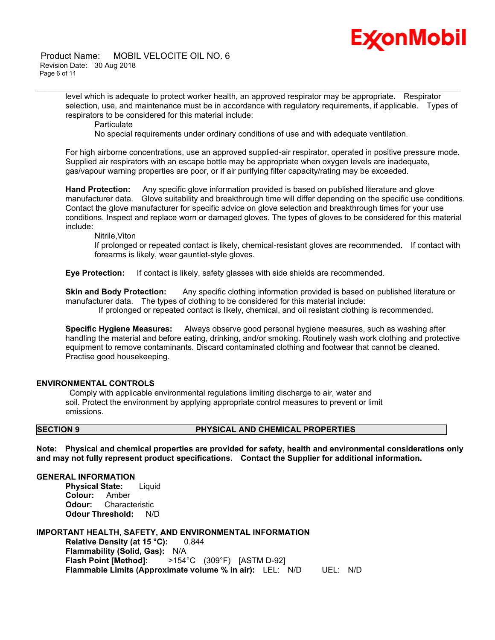# Ex⁄onMobil

 Product Name: MOBIL VELOCITE OIL NO. 6 Revision Date: 30 Aug 2018 Page 6 of 11

> level which is adequate to protect worker health, an approved respirator may be appropriate. Respirator selection, use, and maintenance must be in accordance with regulatory requirements, if applicable. Types of respirators to be considered for this material include:

**Particulate** 

No special requirements under ordinary conditions of use and with adequate ventilation.

\_\_\_\_\_\_\_\_\_\_\_\_\_\_\_\_\_\_\_\_\_\_\_\_\_\_\_\_\_\_\_\_\_\_\_\_\_\_\_\_\_\_\_\_\_\_\_\_\_\_\_\_\_\_\_\_\_\_\_\_\_\_\_\_\_\_\_\_\_\_\_\_\_\_\_\_\_\_\_\_\_\_\_\_\_\_\_\_\_\_\_\_\_\_\_\_\_\_\_\_\_\_\_\_\_\_\_\_\_\_\_\_\_\_\_\_\_\_

For high airborne concentrations, use an approved supplied-air respirator, operated in positive pressure mode. Supplied air respirators with an escape bottle may be appropriate when oxygen levels are inadequate, gas/vapour warning properties are poor, or if air purifying filter capacity/rating may be exceeded.

**Hand Protection:** Any specific glove information provided is based on published literature and glove manufacturer data. Glove suitability and breakthrough time will differ depending on the specific use conditions. Contact the glove manufacturer for specific advice on glove selection and breakthrough times for your use conditions. Inspect and replace worn or damaged gloves. The types of gloves to be considered for this material include:

Nitrile,Viton

If prolonged or repeated contact is likely, chemical-resistant gloves are recommended. If contact with forearms is likely, wear gauntlet-style gloves.

**Eye Protection:** If contact is likely, safety glasses with side shields are recommended.

**Skin and Body Protection:** Any specific clothing information provided is based on published literature or manufacturer data. The types of clothing to be considered for this material include:

If prolonged or repeated contact is likely, chemical, and oil resistant clothing is recommended.

**Specific Hygiene Measures:** Always observe good personal hygiene measures, such as washing after handling the material and before eating, drinking, and/or smoking. Routinely wash work clothing and protective equipment to remove contaminants. Discard contaminated clothing and footwear that cannot be cleaned. Practise good housekeeping.

#### **ENVIRONMENTAL CONTROLS**

 Comply with applicable environmental regulations limiting discharge to air, water and soil. Protect the environment by applying appropriate control measures to prevent or limit emissions.

#### **SECTION 9 PHYSICAL AND CHEMICAL PROPERTIES**

**Note: Physical and chemical properties are provided for safety, health and environmental considerations only and may not fully represent product specifications. Contact the Supplier for additional information.**

### **GENERAL INFORMATION**

**Physical State:** Liquid **Colour:** Amber **Odour:** Characteristic **Odour Threshold:** N/D

**IMPORTANT HEALTH, SAFETY, AND ENVIRONMENTAL INFORMATION Relative Density (at 15 °C):** 0.844 **Flammability (Solid, Gas):** N/A **Flash Point [Method]:** >154°C (309°F) [ASTM D-92] **Flammable Limits (Approximate volume % in air):** LEL: N/D UEL: N/D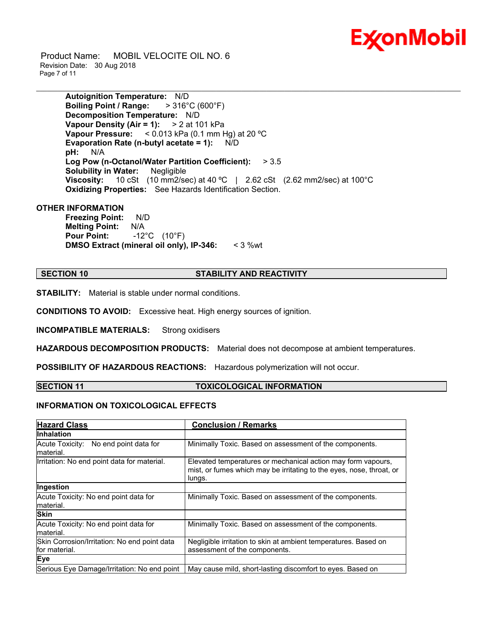

 Product Name: MOBIL VELOCITE OIL NO. 6 Revision Date: 30 Aug 2018 Page 7 of 11

> **Autoignition Temperature:** N/D **Boiling Point / Range:** > 316°C (600°F) **Decomposition Temperature:** N/D **Vapour Density (Air = 1):** > 2 at 101 kPa **Vapour Pressure:** < 0.013 kPa (0.1 mm Hg) at 20 ºC **Evaporation Rate (n-butyl acetate = 1):** N/D **pH:** N/A **Log Pow (n-Octanol/Water Partition Coefficient):** > 3.5 **Solubility in Water:** Negligible **Viscosity:** 10 cSt (10 mm2/sec) at 40 °C | 2.62 cSt (2.62 mm2/sec) at 100°C **Oxidizing Properties:** See Hazards Identification Section.

### **OTHER INFORMATION**

**Freezing Point:** N/D **Melting Point:** N/A **Pour Point:** -12°C (10°F) **DMSO Extract (mineral oil only), IP-346:** < 3 %wt

#### **SECTION 10 STABILITY AND REACTIVITY**

\_\_\_\_\_\_\_\_\_\_\_\_\_\_\_\_\_\_\_\_\_\_\_\_\_\_\_\_\_\_\_\_\_\_\_\_\_\_\_\_\_\_\_\_\_\_\_\_\_\_\_\_\_\_\_\_\_\_\_\_\_\_\_\_\_\_\_\_\_\_\_\_\_\_\_\_\_\_\_\_\_\_\_\_\_\_\_\_\_\_\_\_\_\_\_\_\_\_\_\_\_\_\_\_\_\_\_\_\_\_\_\_\_\_\_\_\_\_

**STABILITY:** Material is stable under normal conditions.

**CONDITIONS TO AVOID:** Excessive heat. High energy sources of ignition.

**INCOMPATIBLE MATERIALS:** Strong oxidisers

**HAZARDOUS DECOMPOSITION PRODUCTS:** Material does not decompose at ambient temperatures.

**POSSIBILITY OF HAZARDOUS REACTIONS:** Hazardous polymerization will not occur.

#### **SECTION 11 TOXICOLOGICAL INFORMATION**

#### **INFORMATION ON TOXICOLOGICAL EFFECTS**

| <b>Hazard Class</b>                                           | <b>Conclusion / Remarks</b>                                                                                                                    |
|---------------------------------------------------------------|------------------------------------------------------------------------------------------------------------------------------------------------|
| <b>Inhalation</b>                                             |                                                                                                                                                |
| Acute Toxicity: No end point data for<br>material.            | Minimally Toxic. Based on assessment of the components.                                                                                        |
| Irritation: No end point data for material.                   | Elevated temperatures or mechanical action may form vapours,<br>mist, or fumes which may be irritating to the eyes, nose, throat, or<br>lungs. |
| Ingestion                                                     |                                                                                                                                                |
| Acute Toxicity: No end point data for<br>material.            | Minimally Toxic. Based on assessment of the components.                                                                                        |
| <b>Skin</b>                                                   |                                                                                                                                                |
| Acute Toxicity: No end point data for<br>material.            | Minimally Toxic. Based on assessment of the components.                                                                                        |
| Skin Corrosion/Irritation: No end point data<br>for material. | Negligible irritation to skin at ambient temperatures. Based on<br>assessment of the components.                                               |
| Eye                                                           |                                                                                                                                                |
| Serious Eye Damage/Irritation: No end point                   | May cause mild, short-lasting discomfort to eyes. Based on                                                                                     |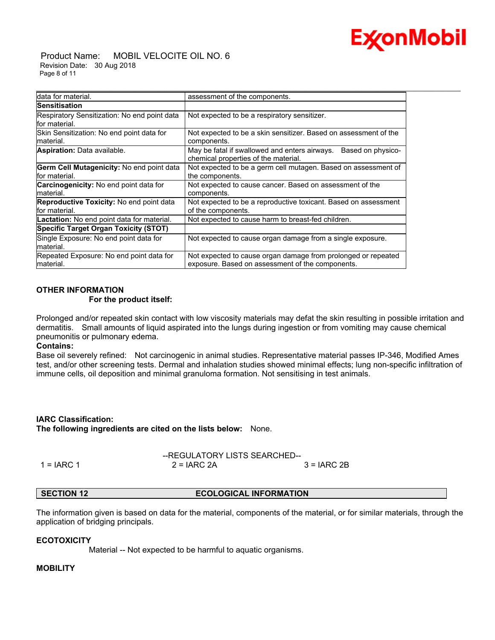## **Ex⁄onMobil**

 Product Name: MOBIL VELOCITE OIL NO. 6 Revision Date: 30 Aug 2018 Page 8 of 11

| Idata for material.                                               | assessment of the components.                                                                                     |
|-------------------------------------------------------------------|-------------------------------------------------------------------------------------------------------------------|
| <b>Sensitisation</b>                                              |                                                                                                                   |
| Respiratory Sensitization: No end point data<br>lfor material.    | Not expected to be a respiratory sensitizer.                                                                      |
| Skin Sensitization: No end point data for<br>lmaterial.           | Not expected to be a skin sensitizer. Based on assessment of the<br>components.                                   |
| <b>Aspiration: Data available.</b>                                | May be fatal if swallowed and enters airways.<br>Based on physico-<br>chemical properties of the material.        |
| <b>Germ Cell Mutagenicity: No end point data</b><br>for material. | Not expected to be a germ cell mutagen. Based on assessment of<br>the components.                                 |
| <b>Carcinogenicity:</b> No end point data for<br>material.        | Not expected to cause cancer. Based on assessment of the<br>components.                                           |
| <b>Reproductive Toxicity:</b> No end point data<br>lfor material. | Not expected to be a reproductive toxicant. Based on assessment<br>of the components.                             |
| <b>Lactation:</b> No end point data for material.                 | Not expected to cause harm to breast-fed children.                                                                |
| Specific Target Organ Toxicity (STOT)                             |                                                                                                                   |
| Single Exposure: No end point data for<br>material.               | Not expected to cause organ damage from a single exposure.                                                        |
| Repeated Exposure: No end point data for<br>material.             | Not expected to cause organ damage from prolonged or repeated<br>exposure. Based on assessment of the components. |

### **OTHER INFORMATION**

### **For the product itself:**

Prolonged and/or repeated skin contact with low viscosity materials may defat the skin resulting in possible irritation and dermatitis. Small amounts of liquid aspirated into the lungs during ingestion or from vomiting may cause chemical pneumonitis or pulmonary edema.

### **Contains:**

Base oil severely refined: Not carcinogenic in animal studies. Representative material passes IP-346, Modified Ames test, and/or other screening tests. Dermal and inhalation studies showed minimal effects; lung non-specific infiltration of immune cells, oil deposition and minimal granuloma formation. Not sensitising in test animals.

### **IARC Classification: The following ingredients are cited on the lists below:** None.

|              | --REGULATORY LISTS SEARCHED-- |               |  |
|--------------|-------------------------------|---------------|--|
| 1 = $IARC 1$ | $2 = IARC 2A$                 | $3 = IARC 2B$ |  |

### **SECTION 12 ECOLOGICAL INFORMATION**

The information given is based on data for the material, components of the material, or for similar materials, through the application of bridging principals.

#### **ECOTOXICITY**

Material -- Not expected to be harmful to aquatic organisms.

#### **MOBILITY**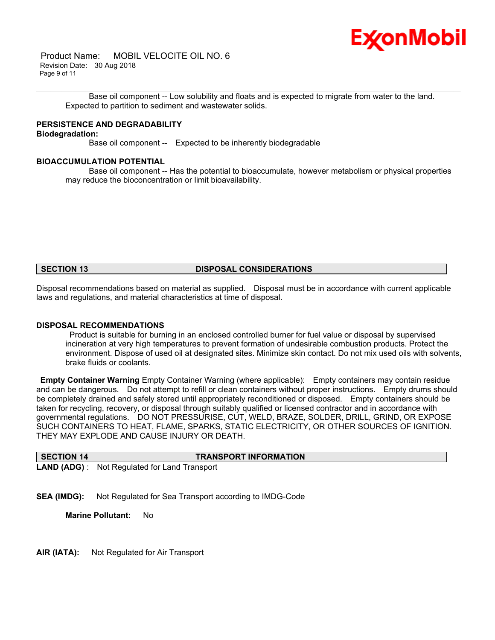

 Product Name: MOBIL VELOCITE OIL NO. 6 Revision Date: 30 Aug 2018 Page 9 of 11

\_\_\_\_\_\_\_\_\_\_\_\_\_\_\_\_\_\_\_\_\_\_\_\_\_\_\_\_\_\_\_\_\_\_\_\_\_\_\_\_\_\_\_\_\_\_\_\_\_\_\_\_\_\_\_\_\_\_\_\_\_\_\_\_\_\_\_\_\_\_\_\_\_\_\_\_\_\_\_\_\_\_\_\_\_\_\_\_\_\_\_\_\_\_\_\_\_\_\_\_\_\_\_\_\_\_\_\_\_\_\_\_\_\_\_\_\_\_ Base oil component -- Low solubility and floats and is expected to migrate from water to the land. Expected to partition to sediment and wastewater solids.

### **PERSISTENCE AND DEGRADABILITY**

### **Biodegradation:**

Base oil component -- Expected to be inherently biodegradable

### **BIOACCUMULATION POTENTIAL**

 Base oil component -- Has the potential to bioaccumulate, however metabolism or physical properties may reduce the bioconcentration or limit bioavailability.

#### **SECTION 13 DISPOSAL CONSIDERATIONS**

Disposal recommendations based on material as supplied. Disposal must be in accordance with current applicable laws and regulations, and material characteristics at time of disposal.

#### **DISPOSAL RECOMMENDATIONS**

 Product is suitable for burning in an enclosed controlled burner for fuel value or disposal by supervised incineration at very high temperatures to prevent formation of undesirable combustion products. Protect the environment. Dispose of used oil at designated sites. Minimize skin contact. Do not mix used oils with solvents, brake fluids or coolants.

**Empty Container Warning** Empty Container Warning (where applicable): Empty containers may contain residue and can be dangerous. Do not attempt to refill or clean containers without proper instructions. Empty drums should be completely drained and safely stored until appropriately reconditioned or disposed. Empty containers should be taken for recycling, recovery, or disposal through suitably qualified or licensed contractor and in accordance with governmental regulations. DO NOT PRESSURISE, CUT, WELD, BRAZE, SOLDER, DRILL, GRIND, OR EXPOSE SUCH CONTAINERS TO HEAT, FLAME, SPARKS, STATIC ELECTRICITY, OR OTHER SOURCES OF IGNITION. THEY MAY EXPLODE AND CAUSE INJURY OR DEATH.

| SECTION 14 | <b>TRANSPORT INFORMATION</b>                         |
|------------|------------------------------------------------------|
|            | <b>LAND (ADG)</b> : Not Regulated for Land Transport |

**SEA (IMDG):** Not Regulated for Sea Transport according to IMDG-Code

**Marine Pollutant:** No

**AIR (IATA):** Not Regulated for Air Transport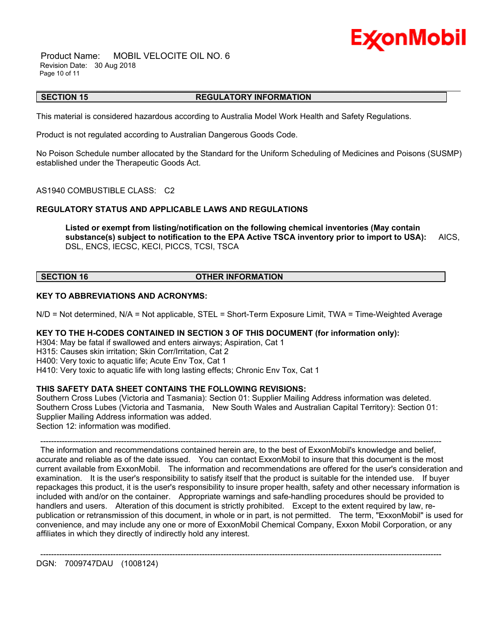

 Product Name: MOBIL VELOCITE OIL NO. 6 Revision Date: 30 Aug 2018 Page 10 of 11

#### \_\_\_\_\_\_\_\_\_\_\_\_\_\_\_\_\_\_\_\_\_\_\_\_\_\_\_\_\_\_\_\_\_\_\_\_\_\_\_\_\_\_\_\_\_\_\_\_\_\_\_\_\_\_\_\_\_\_\_\_\_\_\_\_\_\_\_\_\_\_\_\_\_\_\_\_\_\_\_\_\_\_\_\_\_\_\_\_\_\_\_\_\_\_\_\_\_\_\_\_\_\_\_\_\_\_\_\_\_\_\_\_\_\_\_\_\_\_ **SECTION 15 REGULATORY INFORMATION**

This material is considered hazardous according to Australia Model Work Health and Safety Regulations.

Product is not regulated according to Australian Dangerous Goods Code.

No Poison Schedule number allocated by the Standard for the Uniform Scheduling of Medicines and Poisons (SUSMP) established under the Therapeutic Goods Act.

AS1940 COMBUSTIBLE CLASS: C2

#### **REGULATORY STATUS AND APPLICABLE LAWS AND REGULATIONS**

**Listed or exempt from listing/notification on the following chemical inventories (May contain substance(s) subject to notification to the EPA Active TSCA inventory prior to import to USA):** AICS, DSL, ENCS, IECSC, KECI, PICCS, TCSI, TSCA

#### **SECTION 16 OTHER INFORMATION**

#### **KEY TO ABBREVIATIONS AND ACRONYMS:**

N/D = Not determined, N/A = Not applicable, STEL = Short-Term Exposure Limit, TWA = Time-Weighted Average

#### **KEY TO THE H-CODES CONTAINED IN SECTION 3 OF THIS DOCUMENT (for information only):**

H304: May be fatal if swallowed and enters airways; Aspiration, Cat 1

H315: Causes skin irritation; Skin Corr/Irritation, Cat 2

H400: Very toxic to aquatic life; Acute Env Tox, Cat 1

H410: Very toxic to aquatic life with long lasting effects; Chronic Env Tox, Cat 1

#### **THIS SAFETY DATA SHEET CONTAINS THE FOLLOWING REVISIONS:**

Southern Cross Lubes (Victoria and Tasmania): Section 01: Supplier Mailing Address information was deleted. Southern Cross Lubes (Victoria and Tasmania, New South Wales and Australian Capital Territory): Section 01: Supplier Mailing Address information was added. Section 12: information was modified.

-----------------------------------------------------------------------------------------------------------------------------------------------------

-----------------------------------------------------------------------------------------------------------------------------------------------------

 The information and recommendations contained herein are, to the best of ExxonMobil's knowledge and belief, accurate and reliable as of the date issued. You can contact ExxonMobil to insure that this document is the most current available from ExxonMobil. The information and recommendations are offered for the user's consideration and examination. It is the user's responsibility to satisfy itself that the product is suitable for the intended use. If buyer repackages this product, it is the user's responsibility to insure proper health, safety and other necessary information is included with and/or on the container. Appropriate warnings and safe-handling procedures should be provided to handlers and users. Alteration of this document is strictly prohibited. Except to the extent required by law, republication or retransmission of this document, in whole or in part, is not permitted. The term, "ExxonMobil" is used for convenience, and may include any one or more of ExxonMobil Chemical Company, Exxon Mobil Corporation, or any affiliates in which they directly of indirectly hold any interest.

DGN: 7009747DAU (1008124)